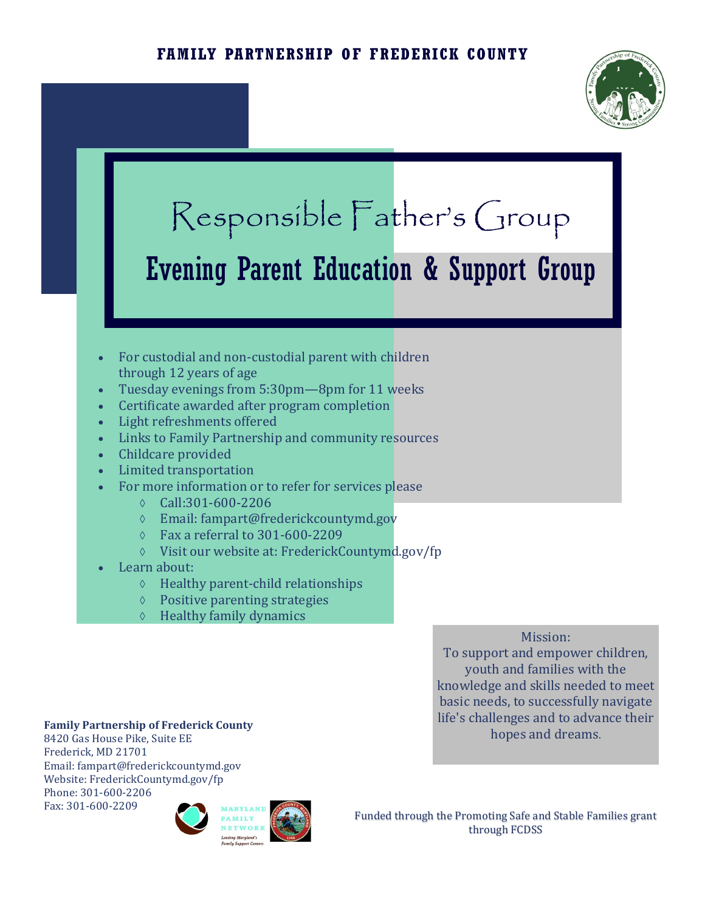

# Responsible Father's Group Evening Parent Education & Support Group

- For custodial and non-custodial parent with children through 12 years of age
- Tuesday evenings from 5:30pm—8pm for 11 weeks
- Certificate awarded after program completion
- Light refreshments offered
- Links to Family Partnership and community resources
- Childcare provided
- Limited transportation
- For more information or to refer for services please
	- $\lozenge$  Call:301-600-2206
	- Email: fampart@frederickcountymd.gov
	- Fax a referral to 301-600-2209
	- Visit our website at: FrederickCountymd.gov/fp
- Learn about:
	- $\Diamond$  Healthy parent-child relationships
	- $\Diamond$  Positive parenting strategies
	- $\Diamond$  Healthy family dynamics

### Mission:

To support and empower children, youth and families with the knowledge and skills needed to meet basic needs, to successfully navigate life's challenges and to advance their hopes and dreams.

#### **Family Partnership of Frederick County**

8420 Gas House Pike, Suite EE Frederick, MD 21701 Email: fampart@frederickcountymd.gov Website: FrederickCountymd.gov/fp Phone: 301-600-2206 Fax: 301-600-2209